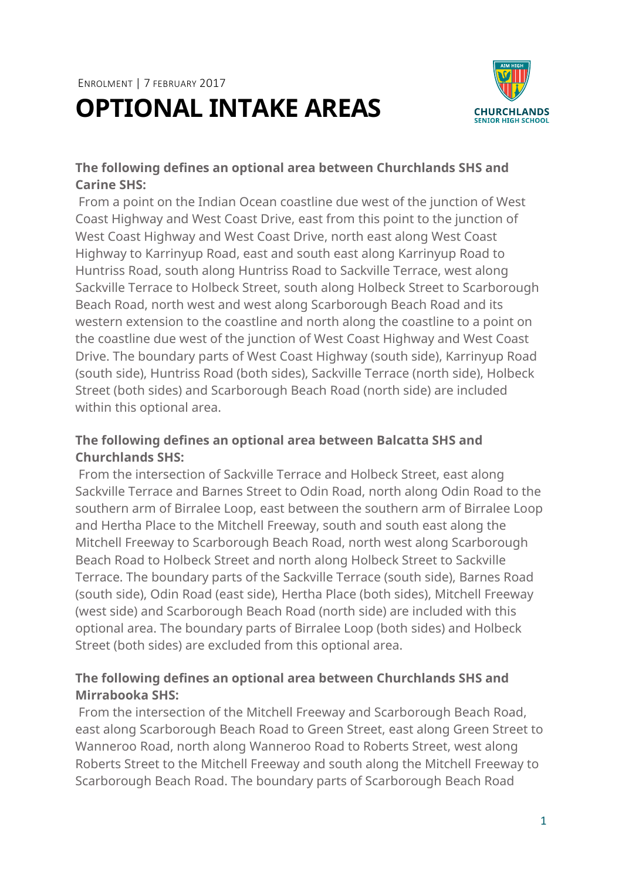# ENROLMENT | 7 FEBRUARY 2017 **OPTIONAL INTAKE AREAS**



### **The following defines an optional area between Churchlands SHS and Carine SHS:**

From a point on the Indian Ocean coastline due west of the junction of West Coast Highway and West Coast Drive, east from this point to the junction of West Coast Highway and West Coast Drive, north east along West Coast Highway to Karrinyup Road, east and south east along Karrinyup Road to Huntriss Road, south along Huntriss Road to Sackville Terrace, west along Sackville Terrace to Holbeck Street, south along Holbeck Street to Scarborough Beach Road, north west and west along Scarborough Beach Road and its western extension to the coastline and north along the coastline to a point on the coastline due west of the junction of West Coast Highway and West Coast Drive. The boundary parts of West Coast Highway (south side), Karrinyup Road (south side), Huntriss Road (both sides), Sackville Terrace (north side), Holbeck Street (both sides) and Scarborough Beach Road (north side) are included within this optional area.

### **The following defines an optional area between Balcatta SHS and Churchlands SHS:**

From the intersection of Sackville Terrace and Holbeck Street, east along Sackville Terrace and Barnes Street to Odin Road, north along Odin Road to the southern arm of Birralee Loop, east between the southern arm of Birralee Loop and Hertha Place to the Mitchell Freeway, south and south east along the Mitchell Freeway to Scarborough Beach Road, north west along Scarborough Beach Road to Holbeck Street and north along Holbeck Street to Sackville Terrace. The boundary parts of the Sackville Terrace (south side), Barnes Road (south side), Odin Road (east side), Hertha Place (both sides), Mitchell Freeway (west side) and Scarborough Beach Road (north side) are included with this optional area. The boundary parts of Birralee Loop (both sides) and Holbeck Street (both sides) are excluded from this optional area.

## **The following defines an optional area between Churchlands SHS and Mirrabooka SHS:**

From the intersection of the Mitchell Freeway and Scarborough Beach Road, east along Scarborough Beach Road to Green Street, east along Green Street to Wanneroo Road, north along Wanneroo Road to Roberts Street, west along Roberts Street to the Mitchell Freeway and south along the Mitchell Freeway to Scarborough Beach Road. The boundary parts of Scarborough Beach Road